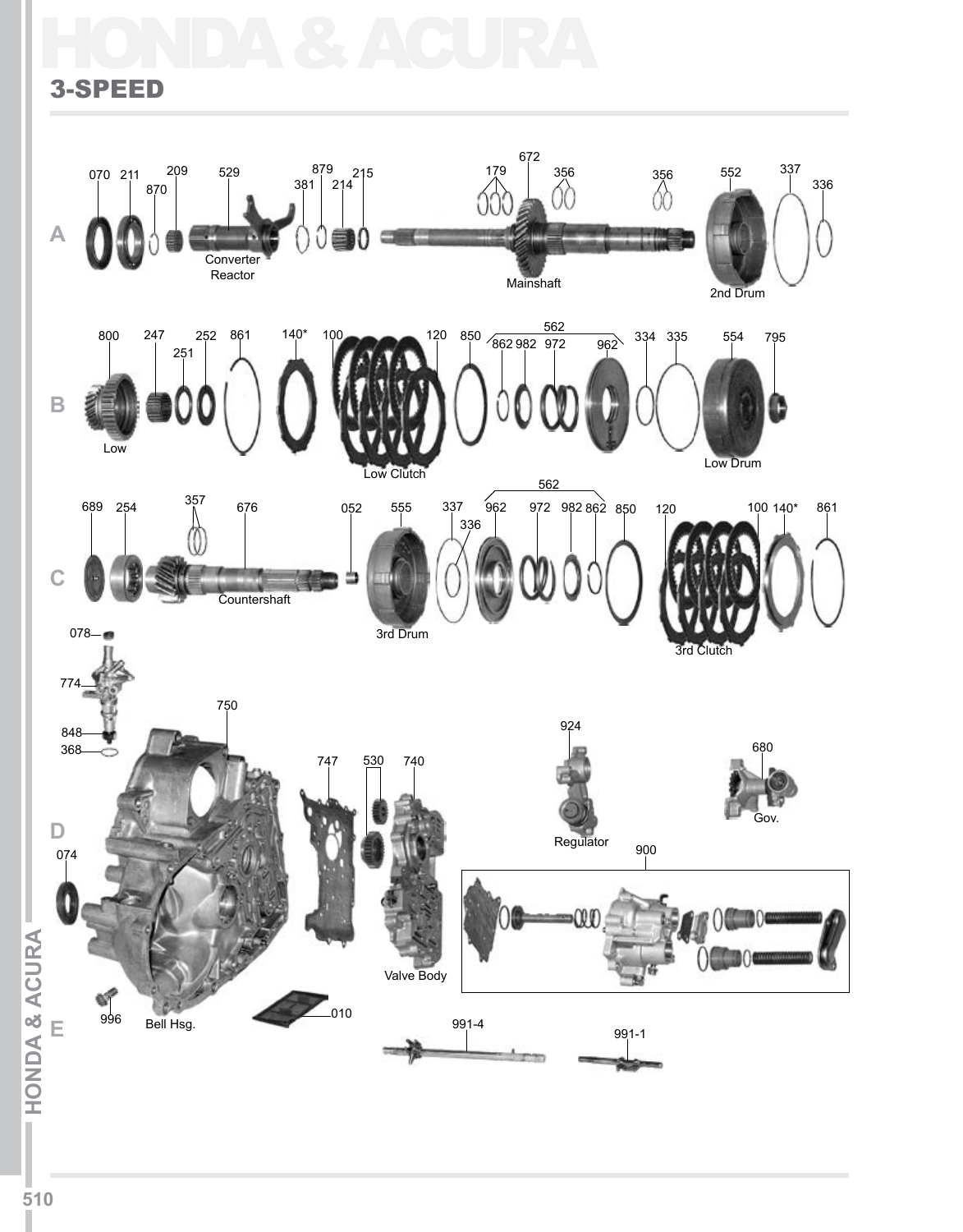# HONDA & ACURA

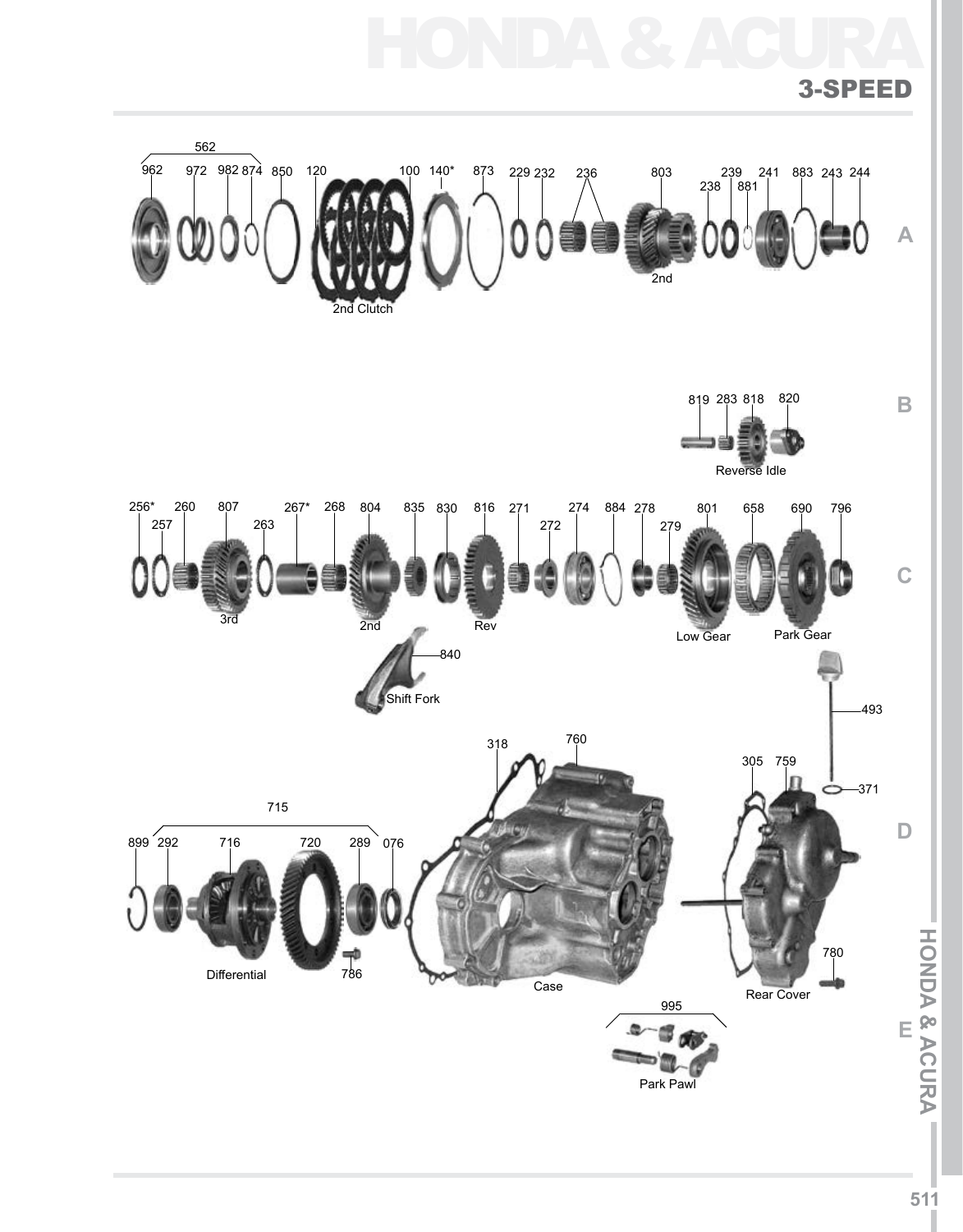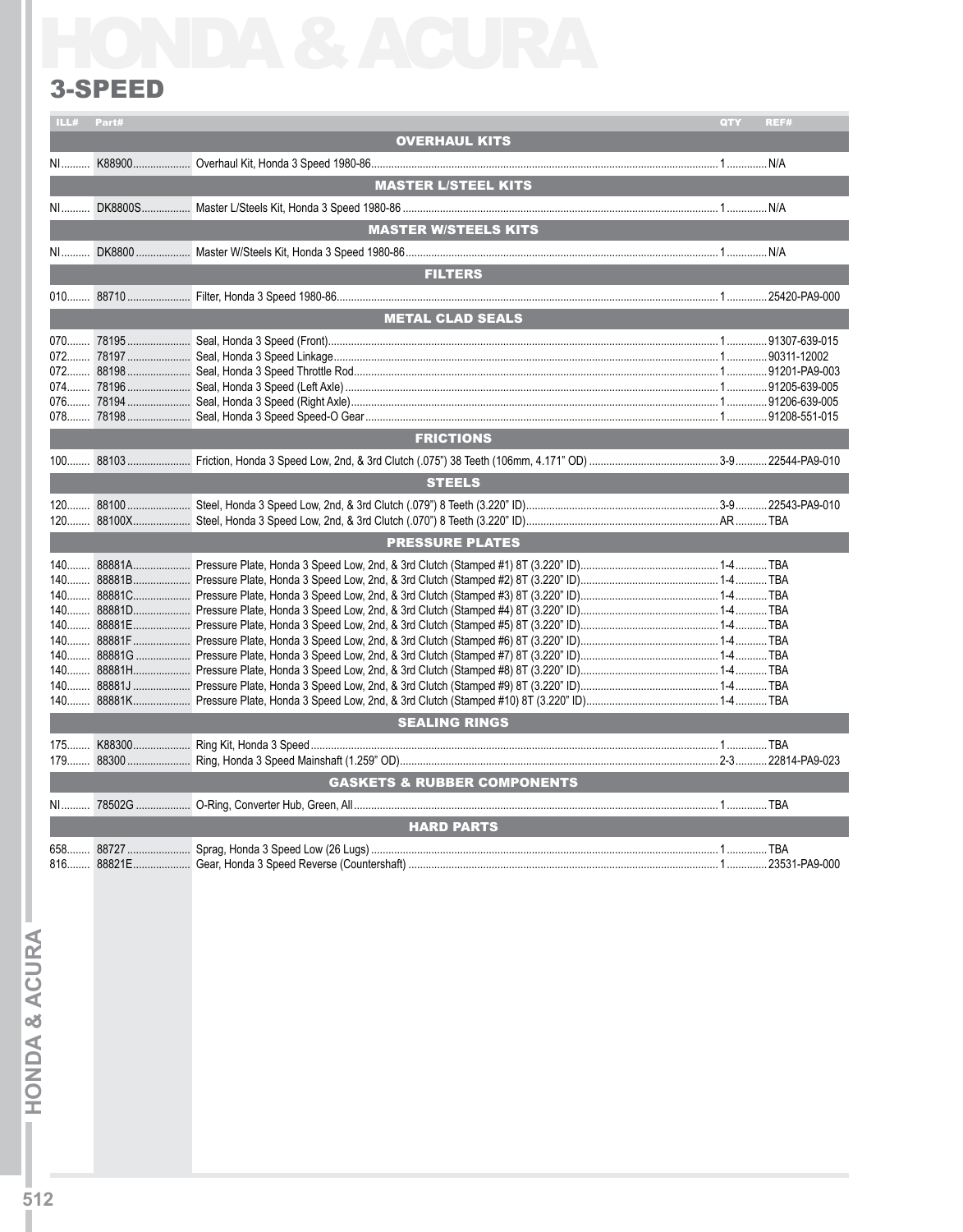## 3-Speed

| ILL# Part# |                                        | QTY | REF# |
|------------|----------------------------------------|-----|------|
|            | <b>OVERHAUL KITS</b>                   |     |      |
|            | <b>MASTER L/STEEL KITS</b>             |     |      |
|            |                                        |     |      |
|            | <b>MASTER W/STEELS KITS</b>            |     |      |
|            |                                        |     |      |
|            | <b>FILTERS</b>                         |     |      |
|            |                                        |     |      |
|            | <b>METAL CLAD SEALS</b>                |     |      |
|            |                                        |     |      |
|            |                                        |     |      |
|            |                                        |     |      |
|            |                                        |     |      |
|            |                                        |     |      |
|            |                                        |     |      |
|            | <b>FRICTIONS</b>                       |     |      |
|            |                                        |     |      |
|            | <b>STEELS</b>                          |     |      |
|            |                                        |     |      |
|            |                                        |     |      |
|            | <b>PRESSURE PLATES</b>                 |     |      |
|            |                                        |     |      |
|            |                                        |     |      |
|            |                                        |     |      |
|            |                                        |     |      |
|            |                                        |     |      |
|            |                                        |     |      |
|            |                                        |     |      |
|            |                                        |     |      |
|            |                                        |     |      |
|            | <b>SEALING RINGS</b>                   |     |      |
|            |                                        |     |      |
|            | <b>GASKETS &amp; RUBBER COMPONENTS</b> |     |      |
|            |                                        |     |      |
|            |                                        |     |      |
|            | <b>HARD PARTS</b>                      |     |      |
|            |                                        |     |      |